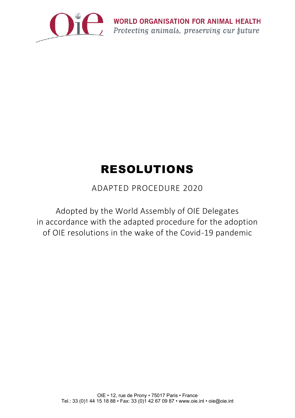

# RESOLUTIONS

# ADAPTED PROCEDURE 2020

Adopted by the World Assembly of OIE Delegates in accordance with the adapted procedure for the adoption of OIE resolutions in the wake of the Covid-19 pandemic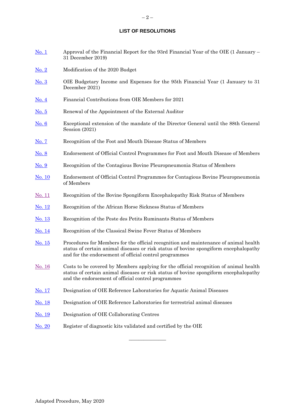#### **LIST OF RESOLUTIONS**

- [No. 1](#page-2-0) Approval of the Financial Report for the 93rd Financial Year of the OIE (1 January 31 December 2019)
- [No. 2](#page-3-0) Modification of the 2020 Budget
- [No. 3](#page-5-0) OIE Budgetary Income and Expenses for the 95th Financial Year (1 January to 31 December 2021)
- [No. 4](#page-7-0) Financial Contributions from OIE Members for 2021
- [No. 5](#page-8-0) Renewal of the Appointment of the External Auditor
- [No. 6](#page-9-0) Exceptional extension of the mandate of the Director General until the 88th General Session (2021)
- [No. 7](#page-10-0) Recognition of the Foot and Mouth Disease Status of Members
- [No. 8](#page-14-0) Endorsement of Official Control Programmes for Foot and Mouth Disease of Members
- [No. 9](#page-15-0) Recognition of the Contagious Bovine Pleuropneumonia Status of Members
- [No. 10](#page-17-0) Endorsement of Official Control Programmes for Contagious Bovine Pleuropneumonia of Members
- [No. 11](#page-18-0) Recognition of the Bovine Spongiform Encephalopathy Risk Status of Members
- [No. 12](#page-20-0) Recognition of the African Horse Sickness Status of Members
- [No. 1](#page-22-0)3 Recognition of the Peste des Petits Ruminants Status of Members
- [No. 1](#page-24-0)4 Recognition of the Classical Swine Fever Status of Members
- [No. 15](#page-26-0) Procedures for Members for the official recognition and maintenance of animal health status of certain animal diseases or risk status of bovine spongiform encephalopathy and for the endorsement of official control programmes
- [No. 16](#page-30-0) Costs to be covered by Members applying for the official recognition of animal health status of certain animal diseases or risk status of bovine spongiform encephalopathy and the endorsement of official control programmes

 $\frac{1}{2}$ 

- [No. 1](#page-32-0)7 Designation of OIE Reference Laboratories for Aquatic Animal Diseases
- [No. 1](#page-34-0)8 Designation of OIE Reference Laboratories for terrestrial animal diseases
- [No. 1](#page-36-0)9 Designation of OIE Collaborating Centres
- [No. 2](#page-37-0)0 Register of diagnostic kits validated and certified by the OIE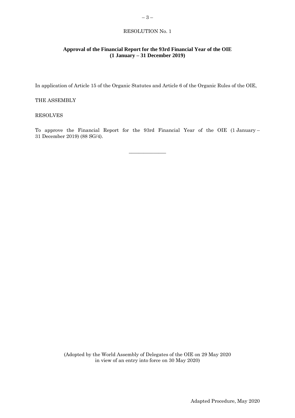# <span id="page-2-0"></span>**Approval of the Financial Report for the 93rd Financial Year of the OIE (1 January – 31 December 2019)**

In application of Article 15 of the Organic Statutes and Article 6 of the Organic Rules of the OIE,

#### THE ASSEMBLY

#### RESOLVES

To approve the Financial Report for the 93rd Financial Year of the OIE (1 January – 31 December 2019) (88 SG/4).

 $\overline{\phantom{a}}$  , where  $\overline{\phantom{a}}$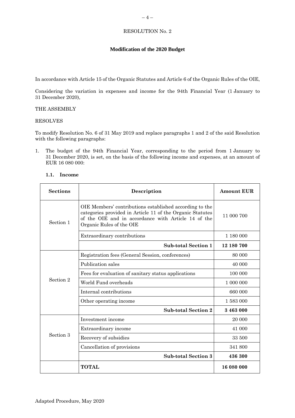# <span id="page-3-0"></span>**Modification of the 2020 Budget**

In accordance with Article 15 of the Organic Statutes and Article 6 of the Organic Rules of the OIE,

Considering the variation in expenses and income for the 94th Financial Year (1 January to 31 December 2020),

#### THE ASSEMBLY

#### RESOLVES

To modify Resolution No. 6 of 31 May 2019 and replace paragraphs 1 and 2 of the said Resolution with the following paragraphs:

1. The budget of the 94th Financial Year, corresponding to the period from 1 January to 31 December 2020, is set, on the basis of the following income and expenses, at an amount of EUR 16 080 000:

| <b>Sections</b>                                                                                                                                                                                                      | Description                                         | <b>Amount EUR</b> |
|----------------------------------------------------------------------------------------------------------------------------------------------------------------------------------------------------------------------|-----------------------------------------------------|-------------------|
| OIE Members' contributions established according to the<br>categories provided in Article 11 of the Organic Statutes<br>of the OIE and in accordance with Article 14 of the<br>Section 1<br>Organic Rules of the OIE |                                                     | 11 000 700        |
|                                                                                                                                                                                                                      | Extraordinary contributions                         | 1 180 000         |
|                                                                                                                                                                                                                      | <b>Sub-total Section 1</b>                          | 12 180 700        |
|                                                                                                                                                                                                                      | Registration fees (General Session, conferences)    | 80 000            |
|                                                                                                                                                                                                                      | Publication sales                                   | 40 000            |
|                                                                                                                                                                                                                      | Fees for evaluation of sanitary status applications | 100 000           |
| Section 2                                                                                                                                                                                                            | World Fund overheads                                | 1 000 000         |
|                                                                                                                                                                                                                      | Internal contributions                              | 660 000           |
|                                                                                                                                                                                                                      | Other operating income                              | 1 583 000         |
|                                                                                                                                                                                                                      | <b>Sub-total Section 2</b>                          | 3 463 000         |
|                                                                                                                                                                                                                      | Investment income                                   | 20 000            |
|                                                                                                                                                                                                                      | Extraordinary income                                | 41 000            |
| Section 3                                                                                                                                                                                                            | Recovery of subsidies                               | 33 500            |
|                                                                                                                                                                                                                      | Cancellation of provisions                          | 341 800           |
|                                                                                                                                                                                                                      | <b>Sub-total Section 3</b>                          | 436 300           |
|                                                                                                                                                                                                                      | <b>TOTAL</b>                                        | 16 080 000        |

# **1.1. Income**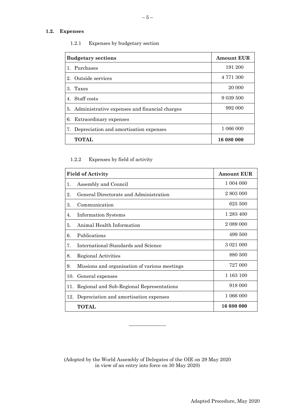# **1.2. Expenses**

| <b>Budgetary sections</b>                        | <b>Amount EUR</b> |
|--------------------------------------------------|-------------------|
| 1. Purchases                                     | 191 200           |
| 2. Outside services                              | 4 771 300         |
| 3. Taxes                                         | 20 000            |
| 4. Staff costs                                   | 9 0 39 5 0 0      |
| 5. Administrative expenses and financial charges | 992 000           |
| 6. Extraordinary expenses                        |                   |
| 7. Depreciation and amortisation expenses        | 1 066 000         |
| <b>TOTAL</b>                                     | 16 080 000        |

1.2.1 Expenses by budgetary section

# 1.2.2 Expenses by field of activity

| <b>Field of Activity</b> |                                               | <b>Amount EUR</b> |
|--------------------------|-----------------------------------------------|-------------------|
| 1.                       | Assembly and Council                          | 1 004 000         |
| 2.                       | General Directorate and Administration        | 2 803 000         |
| 3.                       | Communication                                 | 625 500           |
| 4.                       | <b>Information Systems</b>                    | 1 283 400         |
| 5.                       | Animal Health Information                     | 2 089 000         |
| 6.                       | Publications                                  | 499 500           |
| 7.                       | International Standards and Science           | 3 0 2 1 0 0 0     |
| 8.                       | Regional Activities                           | 880 500           |
| 9.                       | Missions and organisation of various meetings | 727 000           |
| 10.                      | General expenses                              | 1 163 100         |
| 11.                      | Regional and Sub-Regional Representations     | 918 000           |
| 12.                      | Depreciation and amortisation expenses        | 1 066 000         |
|                          | <b>TOTAL</b>                                  | 16 080 000        |

(Adopted by the World Assembly of Delegates of the OIE on 29 May 2020 in view of an entry into force on 30 May 2020)

 $\frac{1}{2}$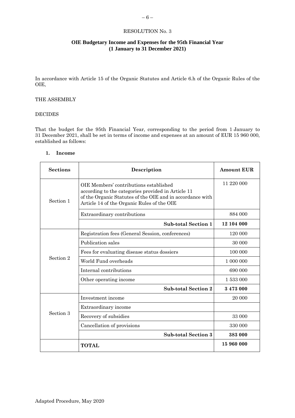# <span id="page-5-0"></span>**OIE Budgetary Income and Expenses for the 95th Financial Year (1 January to 31 December 2021)**

In accordance with Article 15 of the Organic Statutes and Article 6.h of the Organic Rules of the OIE,

#### THE ASSEMBLY

#### DECIDES

That the budget for the 95th Financial Year, corresponding to the period from 1 January to 31 December 2021, shall be set in terms of income and expenses at an amount of EUR 15 960 000, established as follows:

#### **1. Income**

| <b>Sections</b>                                                                                                                                                                                                      | Description                                      | <b>Amount EUR</b> |
|----------------------------------------------------------------------------------------------------------------------------------------------------------------------------------------------------------------------|--------------------------------------------------|-------------------|
| OIE Members' contributions established<br>according to the categories provided in Article 11<br>of the Organic Statutes of the OIE and in accordance with<br>Section 1<br>Article 14 of the Organic Rules of the OIE |                                                  | 11 220 000        |
|                                                                                                                                                                                                                      | Extraordinary contributions                      | 884 000           |
|                                                                                                                                                                                                                      | <b>Sub-total Section 1</b>                       | 12 104 000        |
|                                                                                                                                                                                                                      | Registration fees (General Session, conferences) | 120 000           |
|                                                                                                                                                                                                                      | Publication sales                                | 30 000            |
|                                                                                                                                                                                                                      | Fees for evaluating disease status dossiers      | 100 000           |
| Section 2                                                                                                                                                                                                            | World Fund overheads                             | 1 000 000         |
|                                                                                                                                                                                                                      | Internal contributions                           | 690 000           |
|                                                                                                                                                                                                                      | Other operating income                           | 1 533 000         |
|                                                                                                                                                                                                                      | <b>Sub-total Section 2</b>                       | 3473000           |
|                                                                                                                                                                                                                      | Investment income                                | 20 000            |
|                                                                                                                                                                                                                      | Extraordinary income                             |                   |
| Section 3                                                                                                                                                                                                            | Recovery of subsidies                            | 33 000            |
|                                                                                                                                                                                                                      | Cancellation of provisions                       | 330 000           |
|                                                                                                                                                                                                                      | <b>Sub-total Section 3</b>                       | 383 000           |
|                                                                                                                                                                                                                      | <b>TOTAL</b>                                     | 15 960 000        |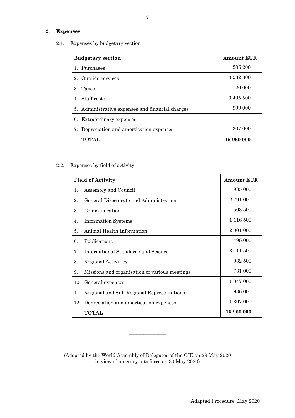# **2. Expenses**

2.1. Expenses by budgetary section

| <b>Budgetary section</b>                         | <b>Amount EUR</b> |
|--------------------------------------------------|-------------------|
| 1. Purchases                                     | 206 200           |
| 2. Outside services                              | 3 932 300         |
| 3. Taxes                                         | 20 000            |
| 4. Staff costs                                   | 9 4 9 5 5 0 0     |
| 5. Administrative expenses and financial charges | 999 000           |
| 6. Extraordinary expenses                        |                   |
| 7. Depreciation and amortisation expenses        | 1 307 000         |
| <b>TOTAL</b>                                     | 15 960 000        |

# 2.2. Expenses by field of activity

| <b>Field of Activity</b> |                                               | <b>Amount EUR</b> |
|--------------------------|-----------------------------------------------|-------------------|
| 1.                       | Assembly and Council                          | 985 000           |
| 2.                       | General Directorate and Administration        | 2 791 000         |
| 3.                       | Communication                                 | 503 500           |
| 4.                       | Information Systems                           | 1 116 500         |
| 5.                       | Animal Health Information                     | 2 001 000         |
| 6.                       | Publications                                  | 498 000           |
| 7.                       | International Standards and Science           | 3 1 1 1 5 0 0     |
| 8.                       | Regional Activities                           | 932 500           |
| 9.                       | Missions and organisation of various meetings | 731 000           |
| 10.                      | General expenses                              | 1 047 000         |
| 11.                      | Regional and Sub-Regional Representations     | 936 000           |
| 12.                      | Depreciation and amortisation expenses        | 1 307 000         |
|                          | <b>TOTAL</b>                                  | 15 960 000        |

(Adopted by the World Assembly of Delegates of the OIE on 29 May 2020 in view of an entry into force on 30 May 2020)

\_\_\_\_\_\_\_\_\_\_\_\_\_\_\_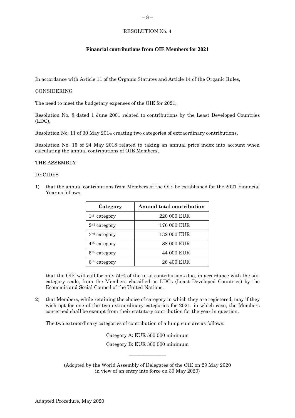# <span id="page-7-0"></span>**Financial contributions from OIE Members for 2021**

In accordance with Article 11 of the Organic Statutes and Article 14 of the Organic Rules,

#### CONSIDERING

The need to meet the budgetary expenses of the OIE for 2021,

Resolution No. 8 dated 1 June 2001 related to contributions by the Least Developed Countries (LDC),

Resolution No. 11 of 30 May 2014 creating two categories of extraordinary contributions,

Resolution No. 15 of 24 May 2018 related to taking an annual price index into account when calculating the annual contributions of OIE Members,

#### THE ASSEMBLY

#### **DECIDES**

1) that the annual contributions from Members of the OIE be established for the 2021 Financial Year as follows:

| Category                 | Annual total contribution |
|--------------------------|---------------------------|
| 1 <sup>st</sup> category | 220 000 EUR               |
| 2 <sup>nd</sup> category | 176 000 EUR               |
| 3 <sup>rd</sup> category | 132 000 EUR               |
| 4 <sup>th</sup> category | 88 000 EUR                |
| 5 <sup>th</sup> category | 44 000 EUR                |
| 6 <sup>th</sup> category | 26 400 EUR                |

that the OIE will call for only 50% of the total contributions due, in accordance with the sixcategory scale, from the Members classified as LDCs (Least Developed Countries) by the Economic and Social Council of the United Nations.

2) that Members, while retaining the choice of category in which they are registered, may if they wish opt for one of the two extraordinary categories for 2021, in which case, the Members concerned shall be exempt from their statutory contribution for the year in question.

The two extraordinary categories of contribution of a lump sum are as follows:

Category A: EUR 500 000 minimum Category B: EUR 300 000 minimum

 $\overline{\phantom{a}}$  , where  $\overline{\phantom{a}}$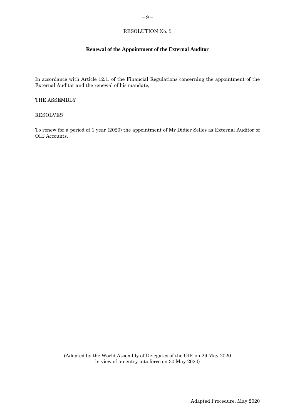# <span id="page-8-0"></span>**Renewal of the Appointment of the External Auditor**

In accordance with Article 12.1. of the Financial Regulations concerning the appointment of the External Auditor and the renewal of his mandate,

THE ASSEMBLY

RESOLVES

To renew for a period of 1 year (2020) the appointment of Mr Didier Selles as External Auditor of OIE Accounts.

 $\overline{\phantom{a}}$  , where  $\overline{\phantom{a}}$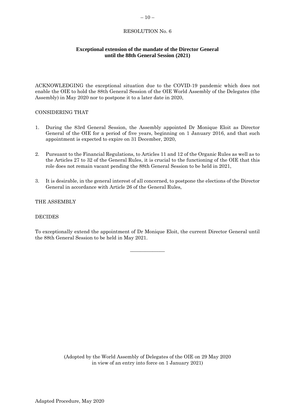# <span id="page-9-0"></span>**Exceptional extension of the mandate of the Director General until the 88th General Session (2021)**

ACKNOWLEDGING the exceptional situation due to the COVID-19 pandemic which does not enable the OIE to hold the 88th General Session of the OIE World Assembly of the Delegates (the Assembly) in May 2020 nor to postpone it to a later date in 2020,

# CONSIDERING THAT

- 1. During the 83rd General Session, the Assembly appointed Dr Monique Eloit as Director General of the OIE for a period of five years, beginning on 1 January 2016, and that such appointment is expected to expire on 31 December, 2020,
- 2. Pursuant to the Financial Regulations, to Articles 11 and 12 of the Organic Rules as well as to the Articles 27 to 32 of the General Rules, it is crucial to the functioning of the OIE that this role does not remain vacant pending the 88th General Session to be held in 2021,
- 3. It is desirable, in the general interest of all concerned, to postpone the elections of the Director General in accordance with Article 26 of the General Rules,

#### THE ASSEMBLY

#### **DECIDES**

To exceptionally extend the appointment of Dr Monique Eloit, the current Director General until the 88th General Session to be held in May 2021.

\_\_\_\_\_\_\_\_\_\_\_\_\_\_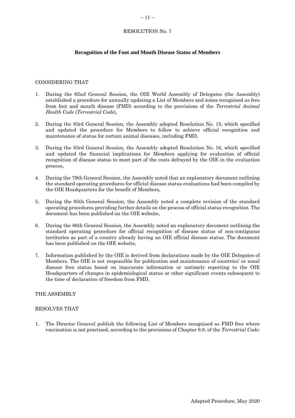# <span id="page-10-0"></span>**Recognition of the Foot and Mouth Disease Status of Members**

#### CONSIDERING THAT

- 1. During the 62nd General Session, the OIE World Assembly of Delegates (the Assembly) established a procedure for annually updating a List of Members and zones recognised as free from foot and mouth disease (FMD) according to the provisions of the *Terrestrial Animal Health Code* (*Terrestrial Code*),
- 2. During the 83rd General Session, the Assembly adopted Resolution No. 15, which specified and updated the procedure for Members to follow to achieve official recognition and maintenance of status for certain animal diseases, including FMD,
- 3. During the 83rd General Session, the Assembly adopted Resolution No. 16, which specified and updated the financial implications for Members applying for evaluation of official recognition of disease status to meet part of the costs defrayed by the OIE in the evaluation process,
- 4. During the 79th General Session, the Assembly noted that an explanatory document outlining the standard operating procedures for official disease status evaluations had been compiled by the OIE Headquarters for the benefit of Members,
- 5. During the 85th General Session, the Assembly noted a complete revision of the standard operating procedures providing further details on the process of official status recognition. The document has been published on the OIE website,
- 6. During the 86th General Session, the Assembly noted an explanatory document outlining the standard operating procedure for official recognition of disease status of non-contiguous territories as part of a country already having an OIE official disease status. The document has been published on the OIE website,
- 7. Information published by the OIE is derived from declarations made by the OIE Delegates of Members. The OIE is not responsible for publication and maintenance of countries' or zonal disease free status based on inaccurate information or untimely reporting to the OIE Headquarters of changes in epidemiological status or other significant events subsequent to the time of declaration of freedom from FMD,

#### THE ASSEMBLY

#### RESOLVES THAT

1. The Director General publish the following List of Members recognised as FMD free where vaccination is not practised, according to the provisions of Chapter 8.8. of the *Terrestrial Code*: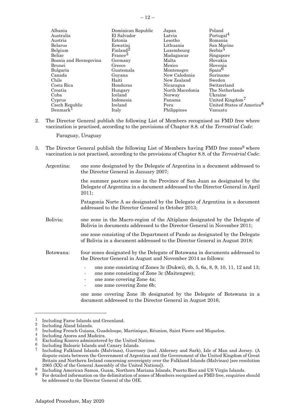| Albania                | Dominican Republic   | Japan           | Poland                                |
|------------------------|----------------------|-----------------|---------------------------------------|
| Australia              | El Salvador          | Latvia          | Portugal <sup>4</sup>                 |
| Austria                | Estonia              | Lesotho         | Romania                               |
| Belarus                | Eswatini             | Lithuania       | San Marino                            |
| Belgium                | Finland <sup>2</sup> | Luxembourg      | Serbia <sup>5</sup>                   |
| Belize                 | France <sup>3</sup>  | Madagascar      | Singapore                             |
| Bosnia and Herzegovina | Germany              | Malta           | Slovakia                              |
| Brunei                 | Greece               | Mexico          | Slovenia                              |
| Bulgaria               | Guatemala            | Montenegro      | $\beta$                               |
| Canada                 | Guyana               | New Caledonia   | Suriname                              |
| Chile                  | Haiti                | New Zealand     | Sweden                                |
| Costa Rica             | Honduras             | Nicaragua       | Switzerland                           |
| Croatia                | Hungary              | North Macedonia | The Netherlands                       |
| Cuba                   | Iceland              | Norway          | Ukraine                               |
| Cyprus                 | Indonesia            | Panama          | United Kingdom <sup>7</sup>           |
| Czech Republic         | Ireland              | Peru            | United States of America <sup>8</sup> |
| Denmark <sup>1</sup>   | Italy                | Philippines     | Vanuatu                               |
|                        |                      |                 |                                       |

2. The Director General publish the following List of Members recognised as FMD free where vaccination is practised, according to the provisions of Chapter 8.8. of the *Terrestrial Code*:

Paraguay, Uruguay

- 3. The Director General publish the following List of Members having FMD free zones<sup>9</sup> where vaccination is not practised, according to the provisions of Chapter 8.8. of the *Terrestrial Code*:
	- Argentina: one zone designated by the Delegate of Argentina in a document addressed to the Director General in January 2007;

the summer pasture zone in the Province of San Juan as designated by the Delegate of Argentina in a document addressed to the Director General in April 2011;

Patagonia Norte A as designated by the Delegate of Argentina in a document addressed to the Director General in October 2013;

Bolivia: one zone in the Macro-region of the Altiplano designated by the Delegate of Bolivia in documents addressed to the Director General in November 2011;

> one zone consisting of the Department of Pando as designated by the Delegate of Bolivia in a document addressed to the Director General in August 2018;

- Botswana: four zones designated by the Delegate of Botswana in documents addressed to the Director General in August and November 2014 as follows:
	- one zone consisting of Zones 3c (Dukwi), 4b, 5, 6a, 8, 9, 10, 11, 12 and 13;
	- one zone consisting of Zone 3c (Maitengwe);
	- one zone covering Zone 4a;
	- one zone covering Zone 6b;

one zone covering Zone 3b designated by the Delegate of Botswana in a document addressed to the Director General in August 2016;

 $\frac{1}{2}$  Including Faroe Islands and Greenland.

 $\frac{2}{3}$  Including Åland Islands.

<sup>&</sup>lt;sup>3</sup> Including French Guiana, Guadeloupe, Martinique, Réunion, Saint Pierre and Miquelon.<br><sup>4</sup> Including Agence and Modeius.

 $\frac{4}{5}$  Including Azores and Madeira.

 $\frac{5}{6}$  Excluding Kosovo administered by the United Nations.

 $\frac{6}{7}$  Including Balearic Islands and Canary Islands.

<sup>7</sup> Including Falkland Islands (Malvinas), Guernsey (incl. Alderney and Sark), Isle of Man and Jersey. (A dispute exists between the Government of Argentina and the Government of the United Kingdom of Great Britain and Northern Ireland concerning sovereignty over the Falkland Islands (Malvinas) [see resolution 2065 (XX) of the General Assembly of the United Nations]).

<sup>&</sup>lt;sup>8</sup> Including American Samoa, Guam, Northern Mariana Islands, Puerto Rico and US Virgin Islands.<br><sup>9</sup> East detailed information on the delimitation of gance of Mambers recognized as EMD free, anguinized

<sup>9</sup> For detailed information on the delimitation of zones of Members recognised as FMD free, enquiries should be addressed to the Director General of the OIE.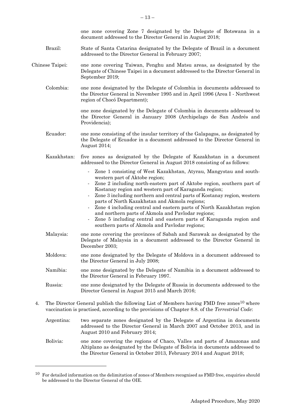|    |                 | one zone covering Zone 7 designated by the Delegate of Botswana in a<br>document addressed to the Director General in August 2018;                                                                                                                                                                                                                                                                                                                                                                                                                                                                                                                     |
|----|-----------------|--------------------------------------------------------------------------------------------------------------------------------------------------------------------------------------------------------------------------------------------------------------------------------------------------------------------------------------------------------------------------------------------------------------------------------------------------------------------------------------------------------------------------------------------------------------------------------------------------------------------------------------------------------|
|    | Brazil:         | State of Santa Catarina designated by the Delegate of Brazil in a document<br>addressed to the Director General in February 2007;                                                                                                                                                                                                                                                                                                                                                                                                                                                                                                                      |
|    | Chinese Taipei: | one zone covering Taiwan, Penghu and Matsu areas, as designated by the<br>Delegate of Chinese Taipei in a document addressed to the Director General in<br>September 2019;                                                                                                                                                                                                                                                                                                                                                                                                                                                                             |
|    | Colombia:       | one zone designated by the Delegate of Colombia in documents addressed to<br>the Director General in November 1995 and in April 1996 (Area I - Northwest<br>region of Chocó Department);                                                                                                                                                                                                                                                                                                                                                                                                                                                               |
|    |                 | one zone designated by the Delegate of Colombia in documents addressed to<br>the Director General in January 2008 (Archipelago de San Andrés and<br>Providencia);                                                                                                                                                                                                                                                                                                                                                                                                                                                                                      |
|    | Ecuador:        | one zone consisting of the insular territory of the Galapagos, as designated by<br>the Delegate of Ecuador in a document addressed to the Director General in<br>August 2014;                                                                                                                                                                                                                                                                                                                                                                                                                                                                          |
|    | Kazakhstan:     | five zones as designated by the Delegate of Kazakhstan in a document<br>addressed to the Director General in August 2018 consisting of as follows:                                                                                                                                                                                                                                                                                                                                                                                                                                                                                                     |
|    |                 | Zone 1 consisting of West Kazakhstan, Atyrau, Mangystau and south-<br>$\overline{\phantom{a}}$<br>western part of Aktobe region;<br>Zone 2 including north-eastern part of Aktobe region, southern part of<br>Kostanay region and western part of Karaganda region;<br>Zone 3 including northern and central parts of Kostanay region, western<br>parts of North Kazakhstan and Akmola regions;<br>Zone 4 including central and eastern parts of North Kazakhstan region<br>and northern parts of Akmola and Pavlodar regions;<br>Zone 5 including central and eastern parts of Karaganda region and<br>southern parts of Akmola and Pavlodar regions; |
|    | Malaysia:       | one zone covering the provinces of Sabah and Sarawak as designated by the<br>Delegate of Malaysia in a document addressed to the Director General in<br>December 2003;                                                                                                                                                                                                                                                                                                                                                                                                                                                                                 |
|    | Moldova:        | one zone designated by the Delegate of Moldova in a document addressed to<br>the Director General in July 2008;                                                                                                                                                                                                                                                                                                                                                                                                                                                                                                                                        |
|    | Namibia:        | one zone designated by the Delegate of Namibia in a document addressed to<br>the Director General in February 1997.                                                                                                                                                                                                                                                                                                                                                                                                                                                                                                                                    |
|    | Russia:         | one zone designated by the Delegate of Russia in documents addressed to the<br>Director General in August 2015 and March 2016;                                                                                                                                                                                                                                                                                                                                                                                                                                                                                                                         |
| 4. |                 | The Director General publish the following List of Members having FMD free zones <sup>10</sup> where<br>vaccination is practised, according to the provisions of Chapter 8.8. of the Terrestrial Code:                                                                                                                                                                                                                                                                                                                                                                                                                                                 |
|    | Argentina:      | two separate zones designated by the Delegate of Argentina in documents<br>addressed to the Director General in March 2007 and October 2013, and in<br>August 2010 and February 2014;                                                                                                                                                                                                                                                                                                                                                                                                                                                                  |
|    | Bolivia:        | one zone covering the regions of Chaco, Valles and parts of Amazonas and<br>Altiplano as designated by the Delegate of Bolivia in documents addressed to<br>the Director General in October 2013, February 2014 and August 2018;                                                                                                                                                                                                                                                                                                                                                                                                                       |

 $10$  For detailed information on the delimitation of zones of Members recognised as FMD free, enquiries should be addressed to the Director General of the OIE.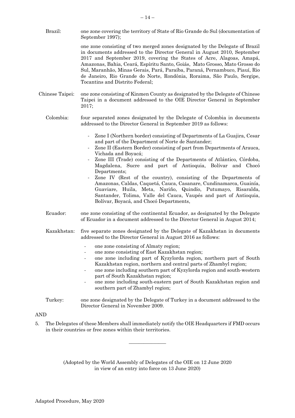- Brazil: one zone covering the territory of State of Rio Grande do Sul (documentation of September 1997); one zone consisting of two merged zones designated by the Delegate of Brazil in documents addressed to the Director General in August 2010, September 2017 and September 2019, covering the States of Acre, Alagoas, Amapá, Amazonas, Bahia, Ceará, Espíritu Santo, Goiás, Mato Grosso, Mato Grosso do Sul, Maranhão, Minas Gerais, Pará, Paraíba, Paraná, Pernambuco, Piauí, Rio de Janeiro, Rio Grande do Norte, Rondônia, Roraima, São Paulo, Sergipe, Tocantins and Distrito Federal;
- Chinese Taipei: one zone consisting of Kinmen County as designated by the Delegate of Chinese Taipei in a document addressed to the OIE Director General in September 2017;
	- Colombia: four separated zones designated by the Delegate of Colombia in documents addressed to the Director General in September 2019 as follows:
		- Zone I (Northern border) consisting of Departments of La Guajira, Cesar and part of the Department of Norte de Santander;
		- Zone II (Eastern Border) consisting of part from Departments of Arauca, Vichada and Boyacá;
		- Zone III (Trade) consisting of the Departments of Atlántico, Córdoba, Magdalena, Sucre and part of Antioquia, Bolívar and Chocó Departments;
		- Zone IV (Rest of the country), consisting of the Departments of Amazonas, Caldas, Caquetá, Cauca, Casanare, Cundinamarca, Guainía, Guaviare, Huila, Meta, Nariño, Quindío, Putumayo, Risaralda, Santander, Tolima, Valle del Cauca, Vaupés and part of Antioquia, Bolívar, Boyacá, and Chocó Departments,
	- Ecuador: one zone consisting of the continental Ecuador, as designated by the Delegate of Ecuador in a document addressed to the Director General in August 2014;
	- Kazakhstan: five separate zones designated by the Delegate of Kazakhstan in documents addressed to the Director General in August 2016 as follows:
		- one zone consisting of Almaty region;
		- one zone consisting of East Kazakhstan region;
		- one zone including part of Kyzylorda region, northern part of South Kazakhstan region, northern and central parts of Zhambyl region;
		- one zone including southern part of Kyzylorda region and south-western part of South Kazakhstan region;
		- one zone including south-eastern part of South Kazakhstan region and southern part of Zhambyl region;
	- Turkey: one zone designated by the Delegate of Turkey in a document addressed to the Director General in November 2009.

#### AND

5. The Delegates of these Members shall immediately notify the OIE Headquarters if FMD occurs in their countries or free zones within their territories.

 $\overline{\phantom{a}}$  , where  $\overline{\phantom{a}}$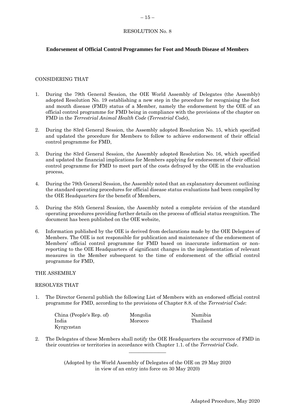# <span id="page-14-0"></span>**Endorsement of Official Control Programmes for Foot and Mouth Disease of Members**

#### CONSIDERING THAT

- 1. During the 79th General Session, the OIE World Assembly of Delegates (the Assembly) adopted Resolution No. 19 establishing a new step in the procedure for recognising the foot and mouth disease (FMD) status of a Member, namely the endorsement by the OIE of an official control programme for FMD being in compliance with the provisions of the chapter on FMD in the *Terrestrial Animal Health Code* (*Terrestrial Code*),
- 2. During the 83rd General Session, the Assembly adopted Resolution No. 15, which specified and updated the procedure for Members to follow to achieve endorsement of their official control programme for FMD,
- 3. During the 83rd General Session, the Assembly adopted Resolution No. 16, which specified and updated the financial implications for Members applying for endorsement of their official control programme for FMD to meet part of the costs defrayed by the OIE in the evaluation process,
- 4. During the 79th General Session, the Assembly noted that an explanatory document outlining the standard operating procedures for official disease status evaluations had been compiled by the OIE Headquarters for the benefit of Members,
- 5. During the 85th General Session, the Assembly noted a complete revision of the standard operating procedures providing further details on the process of official status recognition. The document has been published on the OIE website,
- 6. Information published by the OIE is derived from declarations made by the OIE Delegates of Members. The OIE is not responsible for publication and maintenance of the endorsement of Members' official control programme for FMD based on inaccurate information or nonreporting to the OIE Headquarters of significant changes in the implementation of relevant measures in the Member subsequent to the time of endorsement of the official control programme for FMD,

#### THE ASSEMBLY

#### RESOLVES THAT

1. The Director General publish the following List of Members with an endorsed official control programme for FMD, according to the provisions of Chapter 8.8. of the *Terrestrial Code*:

| China (People's Rep. of) | Mongolia | Namibia  |
|--------------------------|----------|----------|
| India                    | Morocco  | Thailand |
| Kyrgyzstan               |          |          |

2. The Delegates of these Members shall notify the OIE Headquarters the occurrence of FMD in their countries or territories in accordance with Chapter 1.1. of the *Terrestrial Code*.  $\overline{\phantom{a}}$  , where  $\overline{\phantom{a}}$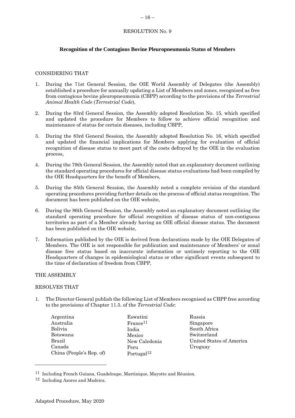# <span id="page-15-0"></span>**Recognition of the Contagious Bovine Pleuropneumonia Status of Members**

#### CONSIDERING THAT

- 1. During the 71st General Session, the OIE World Assembly of Delegates (the Assembly) established a procedure for annually updating a List of Members and zones, recognised as free from contagious bovine pleuropneumonia (CBPP) according to the provisions of the *Terrestrial Animal Health Code* (*Terrestrial Code*),
- 2. During the 83rd General Session, the Assembly adopted Resolution No. 15, which specified and updated the procedure for Members to follow to achieve official recognition and maintenance of status for certain diseases, including CBPP,
- 3. During the 83rd General Session, the Assembly adopted Resolution No. 16, which specified and updated the financial implications for Members applying for evaluation of official recognition of disease status to meet part of the costs defrayed by the OIE in the evaluation process,
- 4. During the 79th General Session, the Assembly noted that an explanatory document outlining the standard operating procedures for official disease status evaluations had been compiled by the OIE Headquarters for the benefit of Members,
- 5. During the 85th General Session, the Assembly noted a complete revision of the standard operating procedures providing further details on the process of official status recognition. The document has been published on the OIE website,
- 6. During the 86th General Session, the Assembly noted an explanatory document outlining the standard operating procedure for official recognition of disease status of non-contiguous territories as part of a Member already having an OIE official disease status. The document has been published on the OIE website,
- 7. Information published by the OIE is derived from declarations made by the OIE Delegates of Members. The OIE is not responsible for publication and maintenance of Members' or zonal disease free status based on inaccurate information or untimely reporting to the OIE Headquarters of changes in epidemiological status or other significant events subsequent to the time of declaration of freedom from CBPP,

#### THE ASSEMBLY

#### RESOLVES THAT

- 1. The Director General publish the following List of Members recognised as CBPP free according to the provisions of Chapter 11.5. of the *Terrestrial Code*:
	- Argentina Australia Bolivia Botswana Brazil Canada China (People's Rep. of)

Eswatini France<sup>11</sup> India Mexico New Caledonia Peru Portugal<sup>12</sup>

Russia Singapore South Africa Switzerland United States of America Uruguay

<sup>11</sup> Including French Guiana, Guadeloupe, Martinique, Mayotte and Réunion.

<sup>12</sup> Including Azores and Madeira.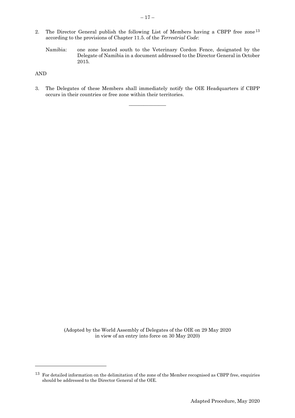- 2. The Director General publish the following List of Members having a CBPP free zone<sup>13</sup> according to the provisions of Chapter 11.5. of the *Terrestrial Code*:
	- Namibia: one zone located south to the Veterinary Cordon Fence, designated by the Delegate of Namibia in a document addressed to the Director General in October 2015.

AND

3. The Delegates of these Members shall immediately notify the OIE Headquarters if CBPP occurs in their countries or free zone within their territories.

 $\overline{\phantom{a}}$  , where  $\overline{\phantom{a}}$ 

<sup>&</sup>lt;sup>13</sup> For detailed information on the delimitation of the zone of the Member recognised as CBPP free, enquiries should be addressed to the Director General of the OIE.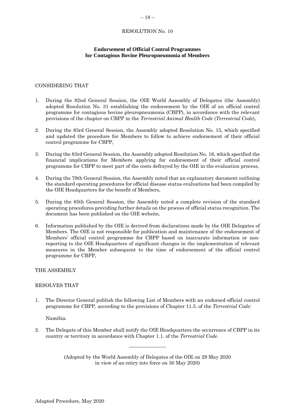# <span id="page-17-0"></span>**Endorsement of Official Control Programmes for Contagious Bovine Pleuropneumonia of Members**

# CONSIDERING THAT

- 1. During the 82nd General Session, the OIE World Assembly of Delegates (the Assembly) adopted Resolution No. 31 establishing the endorsement by the OIE of an official control programme for contagious bovine pleuropneumonia (CBPP), in accordance with the relevant provisions of the chapter on CBPP in the *Terrestrial Animal Health Code* (*Terrestrial Code*),
- 2. During the 83rd General Session, the Assembly adopted Resolution No. 15, which specified and updated the procedure for Members to follow to achieve endorsement of their official control programme for CBPP,
- 3. During the 83rd General Session, the Assembly adopted Resolution No. 16, which specified the financial implications for Members applying for endorsement of their official control programme for CBPP to meet part of the costs defrayed by the OIE in the evaluation process,
- 4. During the 79th General Session, the Assembly noted that an explanatory document outlining the standard operating procedures for official disease status evaluations had been compiled by the OIE Headquarters for the benefit of Members,
- 5. During the 85th General Session, the Assembly noted a complete revision of the standard operating procedures providing further details on the process of official status recognition. The document has been published on the OIE website,
- 6. Information published by the OIE is derived from declarations made by the OIE Delegates of Members. The OIE is not responsible for publication and maintenance of the endorsement of Members' official control programme for CBPP based on inaccurate information or nonreporting to the OIE Headquarters of significant changes in the implementation of relevant measures in the Member subsequent to the time of endorsement of the official control programme for CBPP,

#### THE ASSEMBLY

#### RESOLVES THAT

1. The Director General publish the following List of Members with an endorsed official control programme for CBPP, according to the provisions of Chapter 11.5. of the *Terrestrial Code*:

Namibia.

2. The Delegate of this Member shall notify the OIE Headquarters the occurrence of CBPP in its country or territory in accordance with Chapter 1.1. of the *Terrestrial Code*.

 $\overline{\phantom{a}}$  , where  $\overline{\phantom{a}}$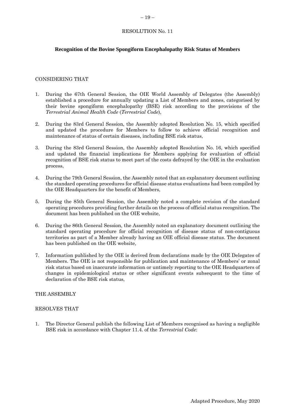# <span id="page-18-0"></span>**Recognition of the Bovine Spongiform Encephalopathy Risk Status of Members**

#### CONSIDERING THAT

- 1. During the 67th General Session, the OIE World Assembly of Delegates (the Assembly) established a procedure for annually updating a List of Members and zones, categorised by their bovine spongiform encephalopathy (BSE) risk according to the provisions of the *Terrestrial Animal Health Code* (*Terrestrial Code*),
- 2. During the 83rd General Session, the Assembly adopted Resolution No. 15, which specified and updated the procedure for Members to follow to achieve official recognition and maintenance of status of certain diseases, including BSE risk status,
- 3. During the 83rd General Session, the Assembly adopted Resolution No. 16, which specified and updated the financial implications for Members applying for evaluation of official recognition of BSE risk status to meet part of the costs defrayed by the OIE in the evaluation process,
- 4. During the 79th General Session, the Assembly noted that an explanatory document outlining the standard operating procedures for official disease status evaluations had been compiled by the OIE Headquarters for the benefit of Members,
- 5. During the 85th General Session, the Assembly noted a complete revision of the standard operating procedures providing further details on the process of official status recognition. The document has been published on the OIE website,
- 6. During the 86th General Session, the Assembly noted an explanatory document outlining the standard operating procedure for official recognition of disease status of non-contiguous territories as part of a Member already having an OIE official disease status. The document has been published on the OIE website,
- 7. Information published by the OIE is derived from declarations made by the OIE Delegates of Members. The OIE is not responsible for publication and maintenance of Members' or zonal risk status based on inaccurate information or untimely reporting to the OIE Headquarters of changes in epidemiological status or other significant events subsequent to the time of declaration of the BSE risk status,

#### THE ASSEMBLY

#### RESOLVES THAT

1. The Director General publish the following List of Members recognised as having a negligible BSE risk in accordance with Chapter 11.4. of the *Terrestrial Code*: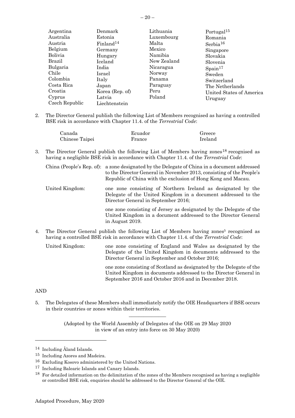| Argentina                                                     | Denmark                                                      | Lithuania                            | Portugal <sup>15</sup>                                                |
|---------------------------------------------------------------|--------------------------------------------------------------|--------------------------------------|-----------------------------------------------------------------------|
| Australia                                                     | Estonia                                                      | Luxembourg                           | Romania                                                               |
| Austria                                                       | Finland <sup>14</sup>                                        | Malta                                | Serbia <sup>16</sup>                                                  |
| Belgium                                                       | Germany                                                      | Mexico                               | Singapore                                                             |
| <b>Bolivia</b>                                                | Hungary                                                      | Namibia                              | Slovakia                                                              |
| Brazil                                                        | Iceland                                                      | New Zealand                          | Slovenia                                                              |
| Bulgaria                                                      | India                                                        | Nicaragua                            | $S_{\text{pain}}^{17}$                                                |
| Chile                                                         | Israel                                                       | Norway                               | Sweden                                                                |
| Colombia<br>Costa Rica<br>Croatia<br>Cyprus<br>Czech Republic | Italy<br>Japan<br>Korea (Rep. of)<br>Latvia<br>Liechtenstein | Panama<br>Paraguay<br>Peru<br>Poland | Switzerland<br>The Netherlands<br>United States of America<br>Uruguay |

2. The Director General publish the following List of Members recognised as having a controlled BSE risk in accordance with Chapter 11.4. of the *Terrestrial Code*:

| Canada         | Ecuador | Greece  |
|----------------|---------|---------|
| Chinese Taipei | France  | Ireland |

3. The Director General publish the following List of Members having zones 18 recognised as having a negligible BSE risk in accordance with Chapter 11.4. of the *Terrestrial Code*:

|                                                                                                    | China (People's Rep. of): a zone designated by the Delegate of China in a document addressed<br>to the Director General in November 2013, consisting of the People's<br>Republic of China with the exclusion of Hong Kong and Macau. |  |
|----------------------------------------------------------------------------------------------------|--------------------------------------------------------------------------------------------------------------------------------------------------------------------------------------------------------------------------------------|--|
| United Kingdom:                                                                                    | one zone consisting of Northern Ireland as designated by the<br>Delegate of the United Kingdom in a document addressed to the<br>Director General in September 2016;                                                                 |  |
|                                                                                                    | one zone consisting of Jersey as designated by the Delegate of the<br>United Kingdom in a document addressed to the Director General<br>in August 2019.                                                                              |  |
| The Director General publish the following List of Members having zones <sup>5</sup> recognised as |                                                                                                                                                                                                                                      |  |

- 4. The Director General publish the following List of Members having zones having a controlled BSE risk in accordance with Chapter 11.4. of the *Terrestrial Code*:
	- United Kingdom: one zone consisting of England and Wales as designated by the Delegate of the United Kingdom in documents addressed to the Director General in September and October 2016;

one zone consisting of Scotland as designated by the Delegate of the United Kingdom in documents addressed to the Director General in September 2016 and October 2016 and in December 2018.

# AND

5. The Delegates of these Members shall immediately notify the OIE Headquarters if BSE occurs in their countries or zones within their territories.  $\overline{\phantom{a}}$  , where  $\overline{\phantom{a}}$ 

<sup>14</sup> Including Åland Islands.

<sup>15</sup> Including Azores and Madeira.

<sup>16</sup> Excluding Kosovo administered by the United Nations.

<sup>17</sup> Including Balearic Islands and Canary Islands.

<sup>18</sup> For detailed information on the delimitation of the zones of the Members recognised as having a negligible or controlled BSE risk, enquiries should be addressed to the Director General of the OIE.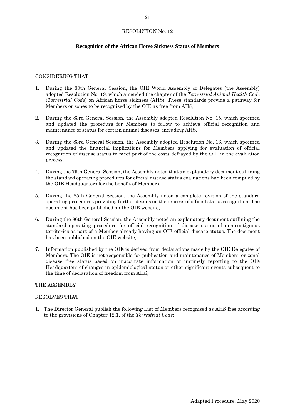# <span id="page-20-0"></span>**Recognition of the African Horse Sickness Status of Members**

#### CONSIDERING THAT

- 1. During the 80th General Session, the OIE World Assembly of Delegates (the Assembly) adopted Resolution No. 19, which amended the chapter of the *Terrestrial Animal Health Code*  (*Terrestrial Code*) on African horse sickness (AHS). These standards provide a pathway for Members or zones to be recognised by the OIE as free from AHS,
- 2. During the 83rd General Session, the Assembly adopted Resolution No. 15, which specified and updated the procedure for Members to follow to achieve official recognition and maintenance of status for certain animal diseases, including AHS,
- 3. During the 83rd General Session, the Assembly adopted Resolution No. 16, which specified and updated the financial implications for Members applying for evaluation of official recognition of disease status to meet part of the costs defrayed by the OIE in the evaluation process,
- 4. During the 79th General Session, the Assembly noted that an explanatory document outlining the standard operating procedures for official disease status evaluations had been compiled by the OIE Headquarters for the benefit of Members,
- 5. During the 85th General Session, the Assembly noted a complete revision of the standard operating procedures providing further details on the process of official status recognition. The document has been published on the OIE website,
- 6. During the 86th General Session, the Assembly noted an explanatory document outlining the standard operating procedure for official recognition of disease status of non-contiguous territories as part of a Member already having an OIE official disease status. The document has been published on the OIE website,
- 7. Information published by the OIE is derived from declarations made by the OIE Delegates of Members. The OIE is not responsible for publication and maintenance of Members' or zonal disease free status based on inaccurate information or untimely reporting to the OIE Headquarters of changes in epidemiological status or other significant events subsequent to the time of declaration of freedom from AHS,

#### THE ASSEMBLY

#### RESOLVES THAT

1. The Director General publish the following List of Members recognised as AHS free according to the provisions of Chapter 12.1. of the *Terrestrial Code*: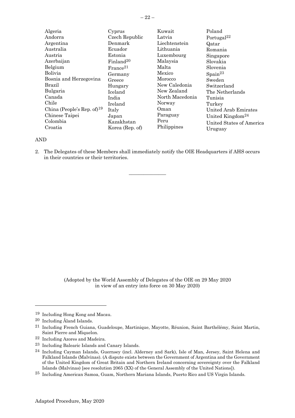| Algeria                       | Cyprus                | Kuwait          | Poland                          |
|-------------------------------|-----------------------|-----------------|---------------------------------|
| Andorra                       | Czech Republic        | Latvia          | Portugal <sup>22</sup>          |
| Argentina                     | Denmark               | Liechtenstein   | Qatar                           |
| Australia                     | Ecuador               | Lithuania       | Romania                         |
| Austria                       | Estonia               | Luxembourg      | Singapore                       |
| Azerbaijan                    | Finland <sup>20</sup> | Malaysia        | Slovakia                        |
| Belgium                       | France <sup>21</sup>  | Malta           | Slovenia                        |
| <b>Bolivia</b>                | Germany               | Mexico          | $\text{Spain}^{23}$             |
| Bosnia and Herzegovina        | Greece                | Morocco         | Sweden                          |
| Brazil                        | Hungary               | New Caledonia   | Switzerland                     |
| Bulgaria                      | Iceland               | New Zealand     | The Netherlands                 |
| Canada                        | India                 | North Macedonia | Tunisia                         |
| Chile                         | Ireland               | Norway          | Turkey                          |
| China (People's Rep. of) $19$ | Italy                 | Oman            | United Arab Emirates            |
| Chinese Taipei                | Japan                 | Paraguay        | United Kingdom <sup>24</sup>    |
| Colombia                      | Kazakhstan            | Peru            | <b>United States of America</b> |
| Croatia                       | Korea (Rep. of)       | Philippines     | Uruguay                         |

# AND

2. The Delegates of these Members shall immediately notify the OIE Headquarters if AHS occurs in their countries or their territories.

 $\frac{1}{2}$ 

<sup>19</sup> Including Hong Kong and Macau.

<sup>20</sup> Including Åland Islands.

<sup>21</sup> Including French Guiana, Guadeloupe, Martinique, Mayotte, Réunion, Saint Barthélémy, Saint Martin, Saint Pierre and Miquelon.

<sup>22</sup> Including Azores and Madeira.

<sup>23</sup> Including Balearic Islands and Canary Islands.

<sup>24</sup> Including Cayman Islands, Guernsey (incl. Alderney and Sark), Isle of Man, Jersey, Saint Helena and Falkland Islands (Malvinas). (A dispute exists between the Government of Argentina and the Government of the United Kingdom of Great Britain and Northern Ireland concerning sovereignty over the Falkland Islands (Malvinas) [see resolution 2065 (XX) of the General Assembly of the United Nations]).

<sup>25</sup> Including American Samoa, Guam, Northern Mariana Islands, Puerto Rico and US Virgin Islands.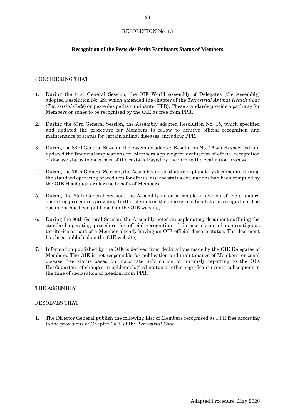# <span id="page-22-0"></span> $-23-$

# RESOLUTION No. 13

# **Recognition of the Peste des Petits Ruminants Status of Members**

#### CONSIDERING THAT

- 1. During the 81st General Session, the OIE World Assembly of Delegates (the Assembly) adopted Resolution No. 29, which amended the chapter of the *Terrestrial Animal Health Code*  (*Terrestrial Code*) on peste des petits ruminants (PPR). These standards provide a pathway for Members or zones to be recognised by the OIE as free from PPR,
- 2. During the 83rd General Session, the Assembly adopted Resolution No. 15, which specified and updated the procedure for Members to follow to achieve official recognition and maintenance of status for certain animal diseases, including PPR,
- 3. During the 83rd General Session, the Assembly adopted Resolution No. 16 which specified and updated the financial implications for Members applying for evaluation of official recognition of disease status to meet part of the costs defrayed by the OIE in the evaluation process,
- 4. During the 79th General Session, the Assembly noted that an explanatory document outlining the standard operating procedures for official disease status evaluations had been compiled by the OIE Headquarters for the benefit of Members,
- 5. During the 85th General Session, the Assembly noted a complete revision of the standard operating procedures providing further details on the process of official status recognition. The document has been published on the OIE website,
- 6. During the 86th General Session, the Assembly noted an explanatory document outlining the standard operating procedure for official recognition of disease status of non-contiguous territories as part of a Member already having an OIE official disease status. The document has been published on the OIE website,
- 7. Information published by the OIE is derived from declarations made by the OIE Delegates of Members. The OIE is not responsible for publication and maintenance of Members' or zonal disease free status based on inaccurate information or untimely reporting to the OIE Headquarters of changes in epidemiological status or other significant events subsequent to the time of declaration of freedom from PPR,

#### THE ASSEMBLY

#### RESOLVES THAT

1. The Director General publish the following List of Members recognised as PPR free according to the provisions of Chapter 14.7. of the *Terrestrial Code*: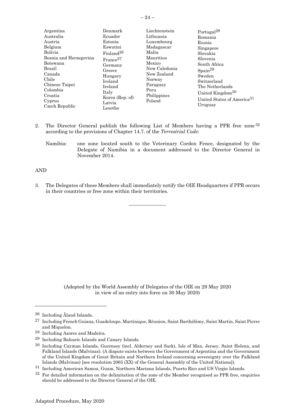|--|

| Argentina<br>Australia<br>Austria<br>Belgium<br>Bolivia<br>Bosnia and Herzegovina<br>Botswana<br>Brazil<br>Canada<br>Chile<br>Chinese Taipei<br>Colombia<br>Croatia<br>Cyprus<br>Czech Republic | Denmark<br>Ecuador<br>Estonia<br>Eswatini<br>Finaland <sup>26</sup><br>France <sup>27</sup><br>Germany<br>Greece<br>Hungary<br>Iceland<br>Ireland<br>Italy<br>Korea (Rep. of)<br>Latvia<br>Lesotho | Liechtenstein<br>Lithuania<br>Luxembourg<br>Madagascar<br>Malta<br>Mauritius<br>Mexico<br>New Caledonia<br>New Zealand<br>Norway<br>Paraguay<br>Peru<br>Philippines<br>Poland | Portugal <sup>28</sup><br>Romania<br>Russia<br>Singapore<br>Slovakia<br>Slovenia<br>South Africa<br>$S_{\text{pain}}^{29}$<br>Sweden<br>Switzerland<br>The Netherlands<br>United Kingdom <sup>30</sup><br>United States of America <sup>31</sup><br>Uruguay |
|-------------------------------------------------------------------------------------------------------------------------------------------------------------------------------------------------|----------------------------------------------------------------------------------------------------------------------------------------------------------------------------------------------------|-------------------------------------------------------------------------------------------------------------------------------------------------------------------------------|-------------------------------------------------------------------------------------------------------------------------------------------------------------------------------------------------------------------------------------------------------------|
|-------------------------------------------------------------------------------------------------------------------------------------------------------------------------------------------------|----------------------------------------------------------------------------------------------------------------------------------------------------------------------------------------------------|-------------------------------------------------------------------------------------------------------------------------------------------------------------------------------|-------------------------------------------------------------------------------------------------------------------------------------------------------------------------------------------------------------------------------------------------------------|

- 2. The Director General publish the following List of Members having a PPR free zone 32 according to the provisions of Chapter 14.7. of the *Terrestrial Code*:
	- Namibia: one zone located south to the Veterinary Cordon Fence, designated by the Delegate of Namibia in a document addressed to the Director General in November 2014.

AND

3. The Delegates of these Members shall immediately notify the OIE Headquarters if PPR occurs in their countries or free zone within their territories.

 $\overline{\phantom{a}}$  , where  $\overline{\phantom{a}}$ 

<sup>26</sup> Including Åland Islands.

<sup>27</sup> Including French Guiana, Guadeloupe, Martinique, Réunion, Saint Barthélémy, Saint Martin, Saint Pierre and Miquelon.

<sup>28</sup> Including Azores and Madeira.

<sup>29</sup> Including Balearic Islands and Canary Islands.

<sup>30</sup> Including Cayman Islands, Guernsey (incl. Alderney and Sark), Isle of Man, Jersey, Saint Helena, and Falkland Islands (Malvinas). (A dispute exists between the Government of Argentina and the Government of the United Kingdom of Great Britain and Northern Ireland concerning sovereignty over the Falkland Islands (Malvinas) [see resolution 2065 (XX) of the General Assembly of the United Nations]).

<sup>31</sup> Including American Samoa, Guam, Northern Mariana Islands, Puerto Rico and US Virgin Islands.

 $32$  For detailed information on the delimitation of the zone of the Member recognised as PPR free, enquiries should be addressed to the Director General of the OIE.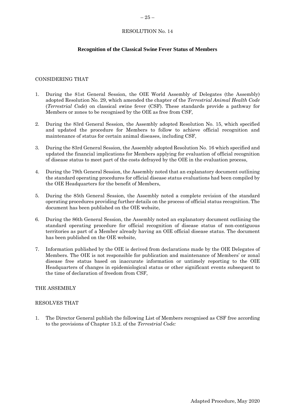# <span id="page-24-0"></span> $-25-$

# RESOLUTION No. 14

# **Recognition of the Classical Swine Fever Status of Members**

#### CONSIDERING THAT

- 1. During the 81st General Session, the OIE World Assembly of Delegates (the Assembly) adopted Resolution No. 29, which amended the chapter of the *Terrestrial Animal Health Code*  (*Terrestrial Code*) on classical swine fever (CSF). These standards provide a pathway for Members or zones to be recognised by the OIE as free from CSF,
- 2. During the 83rd General Session, the Assembly adopted Resolution No. 15, which specified and updated the procedure for Members to follow to achieve official recognition and maintenance of status for certain animal diseases, including CSF,
- 3. During the 83rd General Session, the Assembly adopted Resolution No. 16 which specified and updated the financial implications for Members applying for evaluation of official recognition of disease status to meet part of the costs defrayed by the OIE in the evaluation process,
- 4. During the 79th General Session, the Assembly noted that an explanatory document outlining the standard operating procedures for official disease status evaluations had been compiled by the OIE Headquarters for the benefit of Members,
- 5. During the 85th General Session, the Assembly noted a complete revision of the standard operating procedures providing further details on the process of official status recognition. The document has been published on the OIE website,
- 6. During the 86th General Session, the Assembly noted an explanatory document outlining the standard operating procedure for official recognition of disease status of non-contiguous territories as part of a Member already having an OIE official disease status. The document has been published on the OIE website,
- 7. Information published by the OIE is derived from declarations made by the OIE Delegates of Members. The OIE is not responsible for publication and maintenance of Members' or zonal disease free status based on inaccurate information or untimely reporting to the OIE Headquarters of changes in epidemiological status or other significant events subsequent to the time of declaration of freedom from CSF,

# THE ASSEMBLY

#### RESOLVES THAT

1. The Director General publish the following List of Members recognised as CSF free according to the provisions of Chapter 15.2. of the *Terrestrial Code:*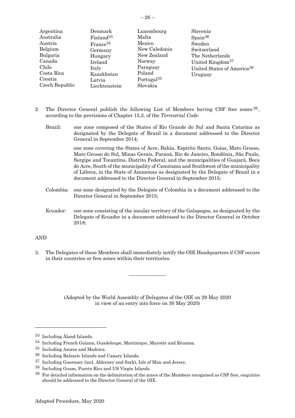| Argentina      | Denmark               | Luxembourg             | Slovenia                               |
|----------------|-----------------------|------------------------|----------------------------------------|
|                |                       |                        |                                        |
| Australia      | Finland <sup>33</sup> | Malta                  | $S_{\text{pain}}^{36}$                 |
| Austria        | $France^{34}$         | Mexico                 | Sweden                                 |
| Belgium        | Germany               | New Caledonia          | Switzerland                            |
| Bulgaria       | Hungary               | New Zealand            | The Netherlands                        |
| Canada         | Ireland               | Norway                 | United Kingdom <sup>37</sup>           |
| Chile          | Italy                 | Paraguay               | United States of America <sup>38</sup> |
| Costa Rica     | Kazakhstan            | Poland                 | Uruguay                                |
| Croatia        | Latvia                | Portugal <sup>35</sup> |                                        |
| Czech Republic | Liechtenstein         | Slovakia               |                                        |

- 2. The Director General publish the following List of Members having CSF free zones  $39$ , according to the provisions of Chapter 15.2. of the *Terrestrial Code*:
	- Brazil: one zone composed of the States of Rio Grande do Sul and Santa Catarina as designated by the Delegate of Brazil in a document addressed to the Director General in September 2014;

one zone covering the States of Acre, Bahia, Espírito Santo, Goias, Mato Grosso, Mato Grosso do Sul, Minas Gerais, Paraná, Rio de Janeiro, Rondônia, São Paulo, Sergipe and Tocantins, Distrito Federal, and the municipalities of Guajará, Boca do Acre, South of the municipality of Canutama and Southwest of the municipality of Lábrea, in the State of Amazonas as designated by the Delegate of Brazil in a document addressed to the Director General in September 2015;

- Colombia: one zone designated by the Delegate of Colombia in a document addressed to the Director General in September 2015;
- Ecuador: one zone consisting of the insular territory of the Galapagos, as designated by the Delegate of Ecuador in a document addressed to the Director General in October 2018;

# AND

3. The Delegates of these Members shall immediately notify the OIE Headquarters if CSF occurs in their countries or free zones within their territories.

 $\frac{1}{2}$ 

<sup>33</sup> Including Åland Islands.

<sup>34</sup> Including French Guiana, Guadeloupe, Martinique, Mayotte and Réunion.

<sup>35</sup> Including Azores and Madeira.

<sup>36</sup> Including Balearic Islands and Canary Islands.

<sup>37</sup> Including Guernsey (incl. Alderney and Sark), Isle of Man and Jersey.

<sup>38</sup> Including Guam, Puerto Rico and US Virgin Islands.

<sup>&</sup>lt;sup>39</sup> For detailed information on the delimitation of the zones of the Members recognised as CSF free, enquiries should be addressed to the Director General of the OIE.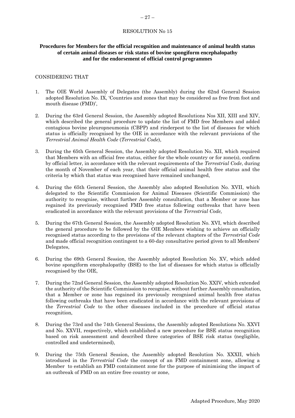#### <span id="page-26-0"></span> $-27-$

#### RESOLUTION No 15

# **Procedures for Members for the official recognition and maintenance of animal health status of certain animal diseases or risk status of bovine spongiform encephalopathy and for the endorsement of official control programmes**

#### CONSIDERING THAT

- 1. The OIE World Assembly of Delegates (the Assembly) during the 62nd General Session adopted Resolution No. IX, 'Countries and zones that may be considered as free from foot and mouth disease (FMD)',
- 2. During the 63rd General Session, the Assembly adopted Resolutions Nos XII, XIII and XIV, which described the general procedure to update the list of FMD free Members and added contagious bovine pleuropneumonia (CBPP) and rinderpest to the list of diseases for which status is officially recognised by the OIE in accordance with the relevant provisions of the *Terrestrial Animal Health Code* (*Terrestrial Code*),
- 3. During the 65th General Session, the Assembly adopted Resolution No. XII, which required that Members with an official free status, either for the whole country or for zone(s), confirm by official letter, in accordance with the relevant requirements of the *Terrestrial Code*, during the month of November of each year, that their official animal health free status and the criteria by which that status was recognised have remained unchanged,
- 4. During the 65th General Session, the Assembly also adopted Resolution No. XVII, which delegated to the Scientific Commission for Animal Diseases (Scientific Commission) the authority to recognise, without further Assembly consultation, that a Member or zone has regained its previously recognised FMD free status following outbreaks that have been eradicated in accordance with the relevant provisions of the *Terrestrial Code,*
- 5. During the 67th General Session, the Assembly adopted Resolution No. XVI, which described the general procedure to be followed by the OIE Members wishing to achieve an officially recognised status according to the provisions of the relevant chapters of the *Terrestrial Code* and made official recognition contingent to a 60-day consultative period given to all Members' Delegates,
- 6. During the 69th General Session, the Assembly adopted Resolution No. XV, which added bovine spongiform encephalopathy (BSE) to the list of diseases for which status is officially recognised by the OIE,
- 7. During the 72nd General Session, the Assembly adopted Resolution No. XXIV, which extended the authority of the Scientific Commission to recognise, without further Assembly consultation, that a Member or zone has regained its previously recognised animal health free status following outbreaks that have been eradicated in accordance with the relevant provisions of the *Terrestrial Code* to the other diseases included in the procedure of official status recognition*,*
- 8. During the 73rd and the 74th General Sessions, the Assembly adopted Resolutions No. XXVI and No. XXVII, respectively, which established a new procedure for BSE status recognition based on risk assessment and described three categories of BSE risk status (negligible, controlled and undetermined),
- 9. During the 75th General Session, the Assembly adopted Resolution No. XXXII, which introduced in the *Terrestrial Code* the concept of an FMD containment zone, allowing a Member to establish an FMD containment zone for the purpose of minimising the impact of an outbreak of FMD on an entire free country or zone,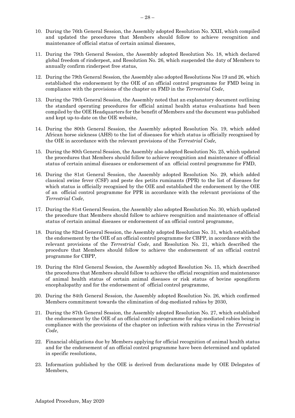- 10. During the 76th General Session, the Assembly adopted Resolution No. XXII, which compiled and updated the procedures that Members should follow to achieve recognition and maintenance of official status of certain animal diseases,
- 11. During the 79th General Session, the Assembly adopted Resolution No. 18, which declared global freedom of rinderpest, and Resolution No. 26, which suspended the duty of Members to annually confirm rinderpest free status,
- 12. During the 79th General Session, the Assembly also adopted Resolutions Nos 19 and 26, which established the endorsement by the OIE of an official control programme for FMD being in compliance with the provisions of the chapter on FMD in the *Terrestrial Code*,
- 13. During the 79th General Session, the Assembly noted that an explanatory document outlining the standard operating procedures for official animal health status evaluations had been compiled by the OIE Headquarters for the benefit of Members and the document was published and kept up-to-date on the OIE website,
- 14. During the 80th General Session, the Assembly adopted Resolution No. 19, which added African horse sickness (AHS) to the list of diseases for which status is officially recognised by the OIE in accordance with the relevant provisions of the *Terrestrial Code,*
- 15. During the 80th General Session, the Assembly also adopted Resolution No. 25, which updated the procedures that Members should follow to achieve recognition and maintenance of official status of certain animal diseases or endorsement of an official control programme for FMD,
- 16. During the 81st General Session, the Assembly adopted Resolution No. 29, which added classical swine fever (CSF) and peste des petits ruminants (PPR) to the list of diseases for which status is officially recognised by the OIE and established the endorsement by the OIE of an official control programme for PPR in accordance with the relevant provisions of the *Terrestrial Code*,
- 17. During the 81st General Session, the Assembly also adopted Resolution No. 30, which updated the procedure that Members should follow to achieve recognition and maintenance of official status of certain animal diseases or endorsement of an official control programme,
- 18. During the 82nd General Session, the Assembly adopted Resolution No. 31, which established the endorsement by the OIE of an official control programme for CBPP, in accordance with the relevant provisions of the *Terrestrial Code*, and Resolution No. 21, which described the procedure that Members should follow to achieve the endorsement of an official control programme for CBPP,
- 19. During the 83rd General Session, the Assembly adopted Resolution No. 15, which described the procedures that Members should follow to achieve the official recognition and maintenance of animal health status of certain animal diseases or risk status of bovine spongiform encephalopathy and for the endorsement of official control programme,
- 20. During the 84th General Session, the Assembly adopted Resolution No. 26, which confirmed Members commitment towards the elimination of dog-mediated rabies by 2030,
- 21. During the 87th General Session, the Assembly adopted Resolution No. 27, which established the endorsement by the OIE of an official control programme for dog-mediated rabies being in compliance with the provisions of the chapter on infection with rabies virus in the *Terrestrial Code*,
- 22. Financial obligations due by Members applying for official recognition of animal health status and for the endorsement of an official control programme have been determined and updated in specific resolutions,
- 23. Information published by the OIE is derived from declarations made by OIE Delegates of Members,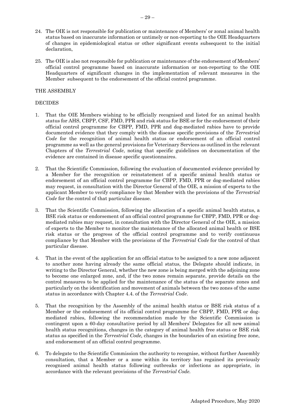- 24. The OIE is not responsible for publication or maintenance of Members' or zonal animal health status based on inaccurate information or untimely or non-reporting to the OIE Headquarters of changes in epidemiological status or other significant events subsequent to the initial declaration,
- 25. The OIE is also not responsible for publication or maintenance of the endorsement of Members' official control programme based on inaccurate information or non-reporting to the OIE Headquarters of significant changes in the implementation of relevant measures in the Member subsequent to the endorsement of the official control programme.

#### THE ASSEMBLY

#### DECIDES

- 1. That the OIE Members wishing to be officially recognised and listed for an animal health status for AHS, CBPP, CSF, FMD, PPR and risk status for BSE or for the endorsement of their official control programme for CBPP, FMD, PPR and dog-mediated rabies have to provide documented evidence that they comply with the disease specific provisions of the *Terrestrial Code* for the recognition of animal health status or endorsement of an official control programme as well as the general provisions for Veterinary Services as outlined in the relevant Chapters of the *Terrestrial Code*, noting that specific guidelines on documentation of the evidence are contained in disease specific questionnaires.
- 2. That the Scientific Commission, following the evaluation of documented evidence provided by a Member for the recognition or reinstatement of a specific animal health status or endorsement of an official control programme for CBPP, FMD, PPR or dog-mediated rabies may request, in consultation with the Director General of the OIE, a mission of experts to the applicant Member to verify compliance by that Member with the provisions of the *Terrestrial Code* for the control of that particular disease.
- 3. That the Scientific Commission, following the allocation of a specific animal health status, a BSE risk status or endorsement of an official control programme for CBPP, FMD, PPR or dogmediated rabies may request, in consultation with the Director General of the OIE, a mission of experts to the Member to monitor the maintenance of the allocated animal health or BSE risk status or the progress of the official control programme and to verify continuous compliance by that Member with the provisions of the *Terrestrial Code* for the control of that particular disease.
- 4. That in the event of the application for an official status to be assigned to a new zone adjacent to another zone having already the same official status, the Delegate should indicate, in writing to the Director General, whether the new zone is being merged with the adjoining zone to become one enlarged zone, and, if the two zones remain separate, provide details on the control measures to be applied for the maintenance of the status of the separate zones and particularly on the identification and movement of animals between the two zones of the same status in accordance with Chapter 4.4. of the *Terrestrial Code*.
- 5. That the recognition by the Assembly of the animal health status or BSE risk status of a Member or the endorsement of its official control programme for CBPP, FMD, PPR or dogmediated rabies, following the recommendation made by the Scientific Commission is contingent upon a 60-day consultative period by all Members' Delegates for all new animal health status recognitions, changes in the category of animal health free status or BSE risk status as specified in the *Terrestrial Code,* changes in the boundaries of an existing free zone, and endorsement of an official control programme.
- 6. To delegate to the Scientific Commission the authority to recognise, without further Assembly consultation, that a Member or a zone within its territory has regained its previously recognised animal health status following outbreaks or infections as appropriate, in accordance with the relevant provisions of the *Terrestrial Code.*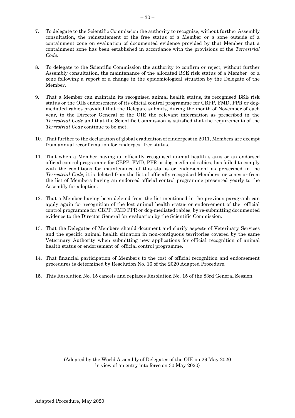- 7. To delegate to the Scientific Commission the authority to recognise, without further Assembly consultation, the reinstatement of the free status of a Member or a zone outside of a containment zone on evaluation of documented evidence provided by that Member that a containment zone has been established in accordance with the provisions of the *Terrestrial Code*.
- 8. To delegate to the Scientific Commission the authority to confirm or reject, without further Assembly consultation, the maintenance of the allocated BSE risk status of a Member or a zone following a report of a change in the epidemiological situation by the Delegate of the Member.
- 9. That a Member can maintain its recognised animal health status, its recognised BSE risk status or the OIE endorsement of its official control programme for CBPP, FMD, PPR or dogmediated rabies provided that the Delegate submits, during the month of November of each year, to the Director General of the OIE the relevant information as prescribed in the *Terrestrial Code* and that the Scientific Commission is satisfied that the requirements of the *Terrestrial Code* continue to be met.
- 10. That further to the declaration of global eradication of rinderpest in 2011, Members are exempt from annual reconfirmation for rinderpest free status.
- 11. That when a Member having an officially recognised animal health status or an endorsed official control programme for CBPP, FMD, PPR or dog-mediated rabies, has failed to comply with the conditions for maintenance of this status or endorsement as prescribed in the *Terrestrial Code,* it is deleted from the list of officially recognised Members or zones or from the list of Members having an endorsed official control programme presented yearly to the Assembly for adoption.
- 12. That a Member having been deleted from the list mentioned in the previous paragraph can apply again for recognition of the lost animal health status or endorsement of the official control programme for CBPP, FMD PPR or dog-mediated rabies, by re-submitting documented evidence to the Director General for evaluation by the Scientific Commission.
- 13. That the Delegates of Members should document and clarify aspects of Veterinary Services and the specific animal health situation in non-contiguous territories covered by the same Veterinary Authority when submitting new applications for official recognition of animal health status or endorsement of official control programme.
- 14. That financial participation of Members to the cost of official recognition and endorsement procedures is determined by Resolution No. 16 of the 2020 Adapted Procedure.
- 15. This Resolution No. 15 cancels and replaces Resolution No. 15 of the 83rd General Session.

 $\overline{\phantom{a}}$  , where  $\overline{\phantom{a}}$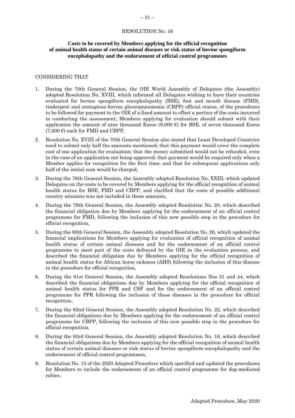# <span id="page-30-0"></span>**Costs to be covered by Members applying for the official recognition of animal health status of certain animal diseases or risk status of bovine spongiform encephalopathy and the endorsement of official control programmes**

#### CONSIDERING THAT

- 1. During the 70th General Session, the OIE World Assembly of Delegates (the Assembly) adopted Resolution No. XVIII, which informed all Delegates wishing to have their countries evaluated for bovine spongiform encephalopathy (BSE), foot and mouth disease (FMD), rinderpest and contagious bovine pleuropneumonia (CBPP) official status, of the procedures to be followed for payment to the OIE of a fixed amount to offset a portion of the costs incurred in conducting the assessment; Members applying for evaluation should submit with their application the amount of nine thousand Euros (9,000  $\epsilon$ ) for BSE, of seven thousand Euros  $(7,000 \epsilon)$  each for FMD and CBPP,
- 2. Resolution No. XVIII of the 70th General Session also stated that Least Developed Countries need to submit only half the amounts mentioned; that this payment would cover the complete cost of one application for evaluation; that the money submitted would not be refunded, even in the case of an application not being approved; that payment would be required only when a Member applies for recognition for the first time; and that for subsequent applications only half of the initial sum would be charged,
- 3. During the 76th General Session, the Assembly adopted Resolution No. XXIII, which updated Delegates on the costs to be covered by Members applying for the official recognition of animal health status for BSE, FMD and CBPP, and clarified that the costs of possible additional country missions was not included in these amounts,
- 4. During the 79th General Session, the Assembly adopted Resolution No. 20, which described the financial obligation due by Members applying for the endorsement of an official control programme for FMD, following the inclusion of this new possible step in the procedure for official recognition,
- 5. During the 80th General Session, the Assembly adopted Resolution No. 26, which updated the financial implications for Members applying for evaluation of official recognition of animal health status of certain animal diseases and for the endorsement of an official control programme to meet part of the costs defrayed by the OIE in the evaluation process, and described the financial obligation due by Members applying for the official recognition of animal health status for African horse sickness (AHS) following the inclusion of this disease in the procedure for official recognition,
- 6. During the 81st General Session, the Assembly adopted Resolutions Nos 31 and 44, which described the financial obligations due by Members applying for the official recognition of animal health status for PPR and CSF and for the endorsement of an official control programme for PPR following the inclusion of these diseases in the procedure for official recognition,
- 7. During the 82nd General Session, the Assembly adopted Resolution No. 22, which described the financial obligations due by Members applying for the endorsement of an official control programme for CBPP, following the inclusion of this new possible step in the procedure for official recognition,
- 8. During the 83rd General Session, the Assembly adopted Resolution No. 16, which described the financial obligations due by Members applying for the official recognition of animal health status of certain animal diseases or risk status of bovine spongiform encephalopathy and the endorsement of official control programmes,
- 9. Resolution No. 15 of the 2020 Adapted Procedure which specified and updated the procedures for Members to include the endorsement of an official control programme for dog-mediated rabies.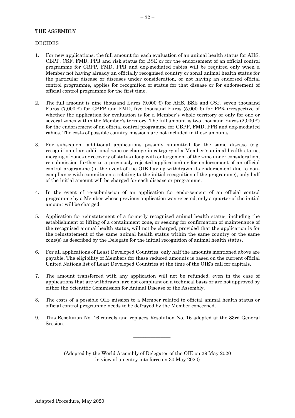#### THE ASSEMBLY

#### DECIDES

- 1. For new applications, the full amount for each evaluation of an animal health status for AHS, CBPP, CSF, FMD, PPR and risk status for BSE or for the endorsement of an official control programme for CBPP, FMD, PPR and dog-mediated rabies will be required only when a Member not having already an officially recognised country or zonal animal health status for the particular disease or diseases under consideration, or not having an endorsed official control programme, applies for recognition of status for that disease or for endorsement of official control programme for the first time.
- 2. The full amount is nine thousand Euros  $(9,000 \text{ } \epsilon)$  for AHS, BSE and CSF, seven thousand Euros (7,000 €) for CBPP and FMD, five thousand Euros (5,000 €) for PPR irrespective of whether the application for evaluation is for a Member`s whole territory or only for one or several zones within the Member's territory. The full amount is two thousand Euros (2,000  $\epsilon$ ) for the endorsement of an official control programme for CBPP, FMD, PPR and dog-mediated rabies. The costs of possible country missions are not included in these amounts.
- 3. For subsequent additional applications possibly submitted for the same disease (e.g. recognition of an additional zone or change in category of a Member`s animal health status, merging of zones or recovery of status along with enlargement of the zone under consideration, re-submission further to a previously rejected application) or for endorsement of an official control programme (in the event of the OIE having withdrawn its endorsement due to noncompliance with commitments relating to the initial recognition of the programme), only half of the initial amount will be charged for each disease or programme.
- 4. In the event of re-submission of an application for endorsement of an official control programme by a Member whose previous application was rejected, only a quarter of the initial amount will be charged.
- 5. Application for reinstatement of a formerly recognised animal health status, including the establishment or lifting of a containment zone, or seeking for confirmation of maintenance of the recognised animal health status, will not be charged, provided that the application is for the reinstatement of the same animal health status within the same country or the same zone(s) as described by the Delegate for the initial recognition of animal health status.
- 6. For all applications of Least Developed Countries, only half the amounts mentioned above are payable. The eligibility of Members for these reduced amounts is based on the current official United Nations list of Least Developed Countries at the time of the OIE's call for capitals.
- 7. The amount transferred with any application will not be refunded, even in the case of applications that are withdrawn, are not compliant on a technical basis or are not approved by either the Scientific Commission for Animal Disease or the Assembly.
- 8. The costs of a possible OIE mission to a Member related to official animal health status or official control programme needs to be defrayed by the Member concerned.
- 9. This Resolution No. 16 cancels and replaces Resolution No. 16 adopted at the 83rd General Session.

 $\overline{\phantom{a}}$  , where  $\overline{\phantom{a}}$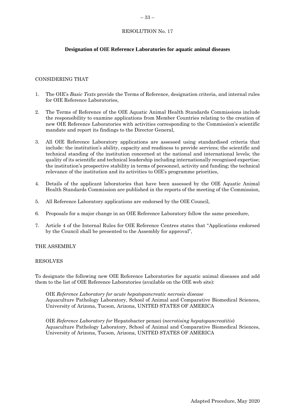# <span id="page-32-0"></span>**Designation of OIE Reference Laboratories for aquatic animal diseases**

# CONSIDERING THAT

- 1. The OIE's *Basic Texts* provide the Terms of Reference, designation criteria, and internal rules for OIE Reference Laboratories,
- 2. The Terms of Reference of the OIE Aquatic Animal Health Standards Commissions include the responsibility to examine applications from Member Countries relating to the creation of new OIE Reference Laboratories with activities corresponding to the Commission's scientific mandate and report its findings to the Director General,
- 3. All OIE Reference Laboratory applications are assessed using standardised criteria that include: the institution's ability, capacity and readiness to provide services; the scientific and technical standing of the institution concerned at the national and international levels; the quality of its scientific and technical leadership including internationally recognised expertise; the institution's prospective stability in terms of personnel, activity and funding; the technical relevance of the institution and its activities to OIE's programme priorities,
- 4. Details of the applicant laboratories that have been assessed by the OIE Aquatic Animal Health Standards Commission are published in the reports of the meeting of the Commission,
- 5. All Reference Laboratory applications are endorsed by the OIE Council,
- 6. Proposals for a major change in an OIE Reference Laboratory follow the same procedure,
- 7. Article 4 of the Internal Rules for OIE Reference Centres states that "Applications endorsed by the Council shall be presented to the Assembly for approval",

#### THE ASSEMBLY

#### RESOLVES

To designate the following new OIE Reference Laboratories for aquatic animal diseases and add them to the list of OIE Reference Laboratories (available on the OIE web site):

OIE *Reference Laboratory for acute hepatopancreatic necrosis disease* Aquaculture Pathology Laboratory, School of Animal and Comparative Biomedical Sciences, University of Arizona, Tucson, Arizona, UNITED STATES OF AMERICA

OIE *Reference Laboratory for* Hepatobacter penaei (*necrotising hepatopancreatitis*) Aquaculture Pathology Laboratory, School of Animal and Comparative Biomedical Sciences, University of Arizona, Tucson, Arizona, UNITED STATES OF AMERICA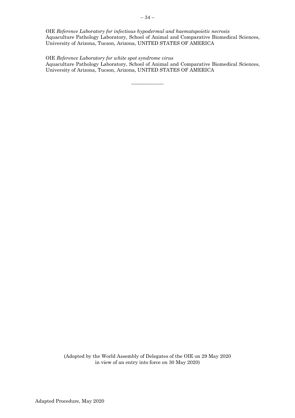OIE *Reference Laboratory for infectious hypodermal and haematopoietic necrosis* Aquaculture Pathology Laboratory, School of Animal and Comparative Biomedical Sciences, University of Arizona, Tucson, Arizona, UNITED STATES OF AMERICA

OIE *Reference Laboratory for white spot syndrome virus*

Aquaculture Pathology Laboratory, School of Animal and Comparative Biomedical Sciences, University of Arizona, Tucson, Arizona, UNITED STATES OF AMERICA

 $\overline{\phantom{a}}$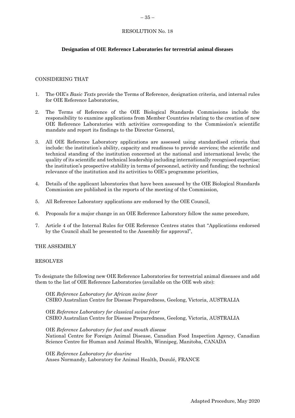# <span id="page-34-0"></span>**Designation of OIE Reference Laboratories for terrestrial animal diseases**

#### CONSIDERING THAT

- 1. The OIE's *Basic Texts* provide the Terms of Reference, designation criteria, and internal rules for OIE Reference Laboratories,
- 2. The Terms of Reference of the OIE Biological Standards Commissions include the responsibility to examine applications from Member Countries relating to the creation of new OIE Reference Laboratories with activities corresponding to the Commission's scientific mandate and report its findings to the Director General,
- 3. All OIE Reference Laboratory applications are assessed using standardised criteria that include: the institution's ability, capacity and readiness to provide services; the scientific and technical standing of the institution concerned at the national and international levels; the quality of its scientific and technical leadership including internationally recognised expertise; the institution's prospective stability in terms of personnel, activity and funding; the technical relevance of the institution and its activities to OIE's programme priorities,
- 4. Details of the applicant laboratories that have been assessed by the OIE Biological Standards Commission are published in the reports of the meeting of the Commission,
- 5. All Reference Laboratory applications are endorsed by the OIE Council,
- 6. Proposals for a major change in an OIE Reference Laboratory follow the same procedure,
- 7. Article 4 of the Internal Rules for OIE Reference Centres states that "Applications endorsed by the Council shall be presented to the Assembly for approval",

#### THE ASSEMBLY

#### RESOLVES

To designate the following new OIE Reference Laboratories for terrestrial animal diseases and add them to the list of OIE Reference Laboratories (available on the OIE web site):

OIE *Reference Laboratory for African swine fever* CSIRO Australian Centre for Disease Preparedness, Geelong, Victoria, AUSTRALIA

OIE *Reference Laboratory for classical swine fever* CSIRO Australian Centre for Disease Preparedness, Geelong, Victoria, AUSTRALIA

OIE *Reference Laboratory for foot and mouth disease* National Centre for Foreign Animal Disease, Canadian Food Inspection Agency, Canadian Science Centre for Human and Animal Health, Winnipeg, Manitoba, CANADA

OIE *Reference Laboratory for dourine* Anses Normandy, Laboratory for Animal Health, Dozulé, FRANCE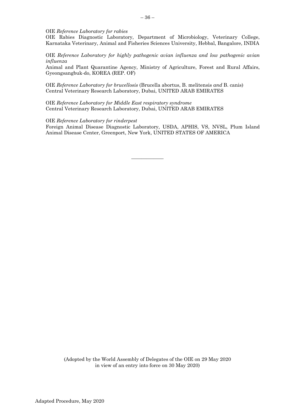OIE *Reference Laboratory for rabies*

OIE Rabies Diagnostic Laboratory, Department of Microbiology, Veterinary College, Karnataka Veterinary, Animal and Fisheries Sciences University, Hebbal, Bangalore, INDIA

OIE *Reference Laboratory for highly pathogenic avian influenza and low pathogenic avian influenza*

Animal and Plant Quarantine Agency, Ministry of Agriculture, Forest and Rural Affairs, Gyeongsangbuk-do, KOREA (REP. OF)

OIE *Reference Laboratory for brucellosis* (Brucella abortus, B. melitensis *and* B. canis) Central Veterinary Research Laboratory, Dubai, UNITED ARAB EMIRATES

OIE *Reference Laboratory for Middle East respiratory syndrome* Central Veterinary Research Laboratory, Dubai, UNITED ARAB EMIRATES

#### OIE *Reference Laboratory for rinderpest*

Foreign Animal Disease Diagnostic Laboratory, USDA, APHIS, VS, NVSL, Plum Island Animal Disease Center, Greenport, New York, UNITED STATES OF AMERICA

 $\overline{\phantom{a}}$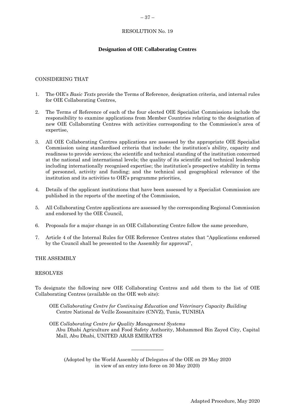# <span id="page-36-0"></span>**Designation of OIE Collaborating Centres**

#### CONSIDERING THAT

- 1. The OIE's *Basic Texts* provide the Terms of Reference, designation criteria, and internal rules for OIE Collaborating Centres,
- 2. The Terms of Reference of each of the four elected OIE Specialist Commissions include the responsibility to examine applications from Member Countries relating to the designation of new OIE Collaborating Centres with activities corresponding to the Commission's area of expertise,
- 3. All OIE Collaborating Centres applications are assessed by the appropriate OIE Specialist Commission using standardised criteria that include: the institution's ability, capacity and readiness to provide services; the scientific and technical standing of the institution concerned at the national and international levels; the quality of its scientific and technical leadership including internationally recognised expertise; the institution's prospective stability in terms of personnel, activity and funding; and the technical and geographical relevance of the institution and its activities to OIE's programme priorities,
- 4. Details of the applicant institutions that have been assessed by a Specialist Commission are published in the reports of the meeting of the Commission,
- 5. All Collaborating Centre applications are assessed by the corresponding Regional Commission and endorsed by the OIE Council,
- 6. Proposals for a major change in an OIE Collaborating Centre follow the same procedure,
- 7. Article 4 of the Internal Rules for OIE Reference Centres states that "Applications endorsed by the Council shall be presented to the Assembly for approval",

#### THE ASSEMBLY

#### RESOLVES

To designate the following new OIE Collaborating Centres and add them to the list of OIE Collaborating Centres (available on the OIE web site):

OIE *Collaborating Centre for Continuing Education and Veterinary Capacity Building* Centre National de Veille Zoosanitaire (CNVZ), Tunis, TUNISIA

OIE *Collaborating Centre for Quality Management Systems* Abu Dhabi Agriculture and Food Safety Authority, Mohammed Bin Zayed City, Capital Mall, Abu Dhabi, UNITED ARAB EMIRATES

(Adopted by the World Assembly of Delegates of the OIE on 29 May 2020 in view of an entry into force on 30 May 2020)

 $\overline{\phantom{a}}$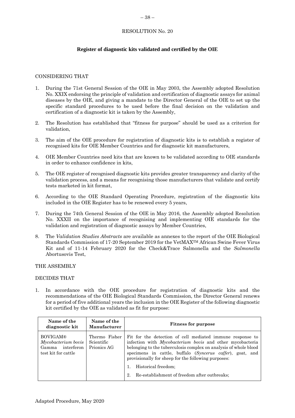# <span id="page-37-0"></span>**Register of diagnostic kits validated and certified by the OIE**

# CONSIDERING THAT

- 1. During the 71st General Session of the OIE in May 2003, the Assembly adopted Resolution No. XXIX endorsing the principle of validation and certification of diagnostic assays for animal diseases by the OIE, and giving a mandate to the Director General of the OIE to set up the specific standard procedures to be used before the final decision on the validation and certification of a diagnostic kit is taken by the Assembly,
- 2. The Resolution has established that "fitness for purpose" should be used as a criterion for validation,
- 3. The aim of the OIE procedure for registration of diagnostic kits is to establish a register of recognised kits for OIE Member Countries and for diagnostic kit manufacturers,
- 4. OIE Member Countries need kits that are known to be validated according to OIE standards in order to enhance confidence in kits,
- 5. The OIE register of recognised diagnostic kits provides greater transparency and clarity of the validation process, and a means for recognising those manufacturers that validate and certify tests marketed in kit format,
- 6. According to the OIE Standard Operating Procedure, registration of the diagnostic kits included in the OIE Register has to be renewed every 5 years,
- 7. During the 74th General Session of the OIE in May 2016, the Assembly adopted Resolution No. XXXII on the importance of recognising and implementing OIE standards for the validation and registration of diagnostic assays by Member Countries,
- 8. The *Validation Studies Abstracts* are available as annexes to the report of the OIE Biological Standards Commission of 17-20 September 2019 for the VetMAXTM African Swine Fever Virus Kit and of 11-14 February 2020 for the Check&Trace Salmonella and the *Salmonella* Abortusovis Test,

THE ASSEMBLY

#### DECIDES THAT

1. In accordance with the OIE procedure for registration of diagnostic kits and the recommendations of the OIE Biological Standards Commission, the Director General renews for a period of five additional years the inclusion in the OIE Register of the following diagnostic kit certified by the OIE as validated as fit for purpose:

| Name of the<br>diagnostic kit                                                     | Name of the<br><b>Manufacturer</b>         | <b>Fitness for purpose</b>                                                                                                                                                                                                                                                                                                                                                                  |
|-----------------------------------------------------------------------------------|--------------------------------------------|---------------------------------------------------------------------------------------------------------------------------------------------------------------------------------------------------------------------------------------------------------------------------------------------------------------------------------------------------------------------------------------------|
| <b>BOVIGAM®</b><br>Mycobacterium bovis<br>Gamma interferon<br>test kit for cattle | Thermo Fisher<br>Scientific<br>Prionics AG | Fit for the detection of cell mediated immune response to<br>infection with Mycobacterium bovis and other mycobacteria<br>belonging to the tuberculosis complex on analysis of whole blood<br>specimens in cattle, buffalo (Syncerus caffer), goat, and<br>provisionally for sheep for the following purposes:<br>Historical freedom:<br>Re-establishment of freedom after outbreaks;<br>2. |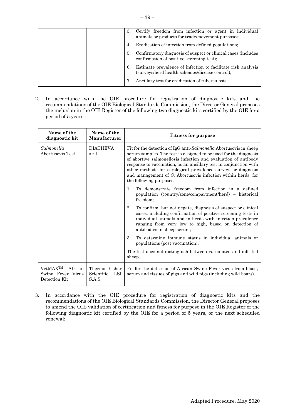| -3. | Certify freedom from infection or agent in individual<br>animals or products for trade/movement purposes;      |
|-----|----------------------------------------------------------------------------------------------------------------|
| 4.  | Eradication of infection from defined populations;                                                             |
| -5. | Confirmatory diagnosis of suspect or clinical cases (includes<br>confirmation of positive screening test);     |
| 6.  | Estimate prevalence of infection to facilitate risk analysis<br>(surveys/herd health schemes/disease control); |
|     | Ancillary test for eradication of tuberculosis.                                                                |

2. In accordance with the OIE procedure for registration of diagnostic kits and the recommendations of the OIE Biological Standards Commission, the Director General proposes the inclusion in the OIE Register of the following two diagnostic kits certified by the OIE for a period of 5 years:

| Name of the<br>diagnostic kit                                         | Name of the<br>Manufacturer                  | <b>Fitness for purpose</b>                                                                                                                                                                                                                                                                                                                                                                                                               |
|-----------------------------------------------------------------------|----------------------------------------------|------------------------------------------------------------------------------------------------------------------------------------------------------------------------------------------------------------------------------------------------------------------------------------------------------------------------------------------------------------------------------------------------------------------------------------------|
| Salmonella<br>Abortusovis Test                                        | <b>DIATHEVA</b><br>s.r.l.                    | Fit for the detection of IgG anti-Salmonella Abortusovis in sheep<br>serum samples. The test is designed to be used for the diagnosis<br>of abortive salmonellosis infection and evaluation of antibody<br>response to vaccination, as an ancillary test in conjunction with<br>other methods for serological prevalence survey, or diagnosis<br>and management of S. Abortusovis infection within herds, for<br>the following purposes: |
|                                                                       |                                              | To demonstrate freedom from infection in a defined<br>1.<br>population (country/zone/compartment/herd) - historical<br>freedom;                                                                                                                                                                                                                                                                                                          |
|                                                                       |                                              | 2.<br>To confirm, but not negate, diagnosis of suspect or clinical<br>cases, including confirmation of positive screening tests in<br>individual animals and in herds with infection prevalence<br>ranging from very low to high, based on detection of<br>antibodies in sheep serum;                                                                                                                                                    |
|                                                                       |                                              | 3.<br>To determine immune status in individual animals or<br>populations (post vaccination).                                                                                                                                                                                                                                                                                                                                             |
|                                                                       |                                              | The test does not distinguish between vaccinated and infected<br>sheep.                                                                                                                                                                                                                                                                                                                                                                  |
| VetMAX <sup>TM</sup><br>African<br>Swine Fever Virus<br>Detection Kit | Thermo Fisher<br>LSI<br>Scientific<br>S.A.S. | Fit for the detection of African Swine Fever virus from blood.<br>serum and tissues of pigs and wild pigs (including wild boars).                                                                                                                                                                                                                                                                                                        |

3. In accordance with the OIE procedure for registration of diagnostic kits and the recommendations of the OIE Biological Standards Commission, the Director General proposes to amend the OIE validation of certification and fitness for purpose in the OIE Register of the following diagnostic kit certified by the OIE for a period of 5 years, or the next scheduled renewal: